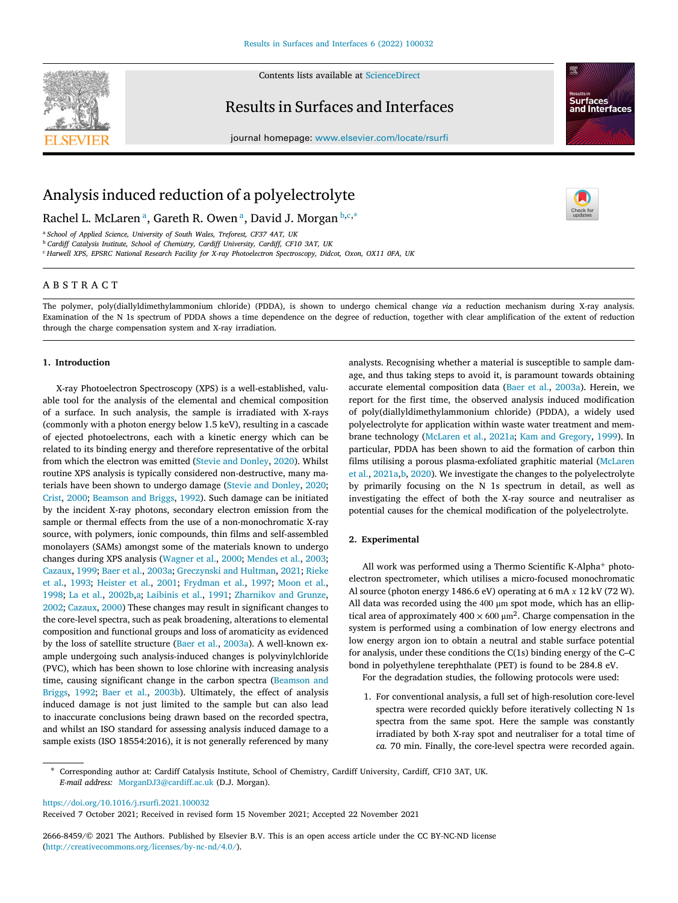

Contents lists available at [ScienceDirect](http://www.elsevier.com/locate/rsurfi)

# Results in Surfaces and Interfaces



journal homepage: [www.elsevier.com/locate/rsurfi](http://www.elsevier.com/locate/rsurfi)

# Analysis induced reduction of a polyelectrolyte

R[a](#page-0-0)chel L. McLaren <sup>a</sup>, Gareth R. Owen <sup>a</sup>, David J. Morgan [b](#page-0-1),[c](#page-0-2),\*

<span id="page-0-0"></span><sup>a</sup> *School of Applied Science, University of South Wales, Treforest, CF37 4AT, UK*

<span id="page-0-1"></span><sup>b</sup> *Cardiff Catalysis Institute, School of Chemistry, Cardiff University, Cardiff, CF10 3AT, UK*

<span id="page-0-2"></span><sup>c</sup> *Harwell XPS, EPSRC National Research Facility for X-ray Photoelectron Spectroscopy, Didcot, Oxon, OX11 0FA, UK*

# A B S T R A C T

The polymer, poly(diallyldimethylammonium chloride) (PDDA), is shown to undergo chemical change *via* a reduction mechanism during X-ray analysis. Examination of the N 1s spectrum of PDDA shows a time dependence on the degree of reduction, together with clear amplification of the extent of reduction through the charge compensation system and X-ray irradiation.

# **1. Introduction**

X-ray Photoelectron Spectroscopy (XPS) is a well-established, valuable tool for the analysis of the elemental and chemical composition of a surface. In such analysis, the sample is irradiated with X-rays (commonly with a photon energy below 1.5 keV), resulting in a cascade of ejected photoelectrons, each with a kinetic energy which can be related to its binding energy and therefore representative of the orbital from which the electron was emitted [\(Stevie and Donley,](#page-4-0) [2020\)](#page-4-0). Whilst routine XPS analysis is typically considered non-destructive, many materials have been shown to undergo damage ([Stevie and Donley,](#page-4-0) [2020](#page-4-0); [Crist,](#page-4-1) [2000;](#page-4-1) [Beamson and Briggs](#page-4-2), [1992\)](#page-4-2). Such damage can be initiated by the incident X-ray photons, secondary electron emission from the sample or thermal effects from the use of a non-monochromatic X-ray source, with polymers, ionic compounds, thin films and self-assembled monolayers (SAMs) amongst some of the materials known to undergo changes during XPS analysis ([Wagner et al.,](#page-4-3) [2000;](#page-4-3) [Mendes et al.,](#page-4-4) [2003](#page-4-4); [Cazaux,](#page-4-5) [1999](#page-4-5); [Baer et al.,](#page-4-6) [2003a](#page-4-6); [Greczynski and Hultman](#page-4-7), [2021;](#page-4-7) [Rieke](#page-4-8) [et al.](#page-4-8), [1993;](#page-4-8) [Heister et al.,](#page-4-9) [2001;](#page-4-9) [Frydman et al.,](#page-4-10) [1997;](#page-4-10) [Moon et al.](#page-4-11), [1998;](#page-4-11) [La et al.](#page-4-12), [2002b,](#page-4-12)[a;](#page-4-13) [Laibinis et al.,](#page-4-14) [1991;](#page-4-14) [Zharnikov and Grunze](#page-4-15), [2002;](#page-4-15) [Cazaux](#page-4-16), [2000](#page-4-16)) These changes may result in significant changes to the core-level spectra, such as peak broadening, alterations to elemental composition and functional groups and loss of aromaticity as evidenced by the loss of satellite structure [\(Baer et al.,](#page-4-6) [2003a](#page-4-6)). A well-known example undergoing such analysis-induced changes is polyvinylchloride (PVC), which has been shown to lose chlorine with increasing analysis time, causing significant change in the carbon spectra ([Beamson and](#page-4-2) [Briggs](#page-4-2), [1992;](#page-4-2) [Baer et al.](#page-4-17), [2003b\)](#page-4-17). Ultimately, the effect of analysis induced damage is not just limited to the sample but can also lead to inaccurate conclusions being drawn based on the recorded spectra, and whilst an ISO standard for assessing analysis induced damage to a sample exists (ISO 18554:2016), it is not generally referenced by many

analysts. Recognising whether a material is susceptible to sample damage, and thus taking steps to avoid it, is paramount towards obtaining accurate elemental composition data ([Baer et al.,](#page-4-6) [2003a\)](#page-4-6). Herein, we report for the first time, the observed analysis induced modification of poly(diallyldimethylammonium chloride) (PDDA), a widely used polyelectrolyte for application within waste water treatment and membrane technology ([McLaren et al.,](#page-4-18) [2021a;](#page-4-18) [Kam and Gregory,](#page-4-19) [1999\)](#page-4-19). In particular, PDDA has been shown to aid the formation of carbon thin films utilising a porous plasma-exfoliated graphitic material ([McLaren](#page-4-18) [et al.,](#page-4-18) [2021a](#page-4-18)[,b,](#page-4-20) [2020\)](#page-4-21). We investigate the changes to the polyelectrolyte by primarily focusing on the N 1s spectrum in detail, as well as investigating the effect of both the X-ray source and neutraliser as potential causes for the chemical modification of the polyelectrolyte.

#### **2. Experimental**

All work was performed using a Thermo Scientific K-Alpha<sup>+</sup> photoelectron spectrometer, which utilises a micro-focused monochromatic Al source (photon energy 1486.6 eV) operating at 6 mA  $x$  12 kV (72 W). All data was recorded using the 400 μm spot mode, which has an elliptical area of approximately 400  $\times$  600  $\mu$ m<sup>2</sup>. Charge compensation in the system is performed using a combination of low energy electrons and low energy argon ion to obtain a neutral and stable surface potential for analysis, under these conditions the C(1s) binding energy of the C–C bond in polyethylene terephthalate (PET) is found to be 284.8 eV.

For the degradation studies, the following protocols were used:

1. For conventional analysis, a full set of high-resolution core-level spectra were recorded quickly before iteratively collecting N 1s spectra from the same spot. Here the sample was constantly irradiated by both X-ray spot and neutraliser for a total time of *ca.* 70 min. Finally, the core-level spectra were recorded again.

<https://doi.org/10.1016/j.rsurfi.2021.100032>

Received 7 October 2021; Received in revised form 15 November 2021; Accepted 22 November 2021

2666-8459/© 2021 The Authors. Published by Elsevier B.V. This is an open access article under the CC BY-NC-ND license [\(http://creativecommons.org/licenses/by-nc-nd/4.0/\)](http://creativecommons.org/licenses/by-nc-nd/4.0/).

<span id="page-0-3"></span><sup>∗</sup> Corresponding author at: Cardiff Catalysis Institute, School of Chemistry, Cardiff University, Cardiff, CF10 3AT, UK. *E-mail address:* [MorganDJ3@cardiff.ac.uk](mailto:MorganDJ3@cardiff.ac.uk) (D.J. Morgan).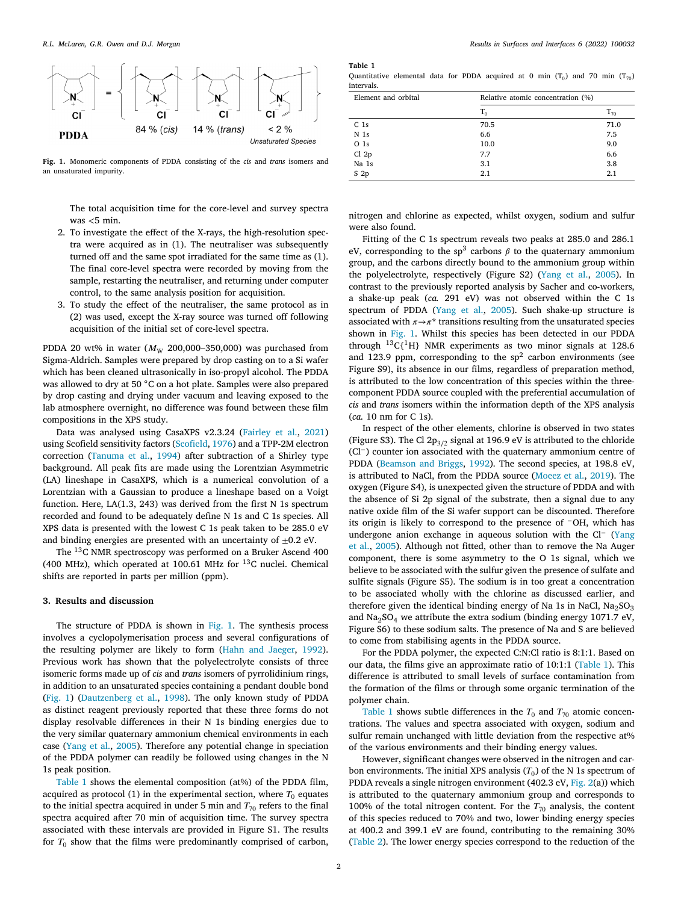

<span id="page-1-0"></span>**Fig. 1.** Monomeric components of PDDA consisting of the *cis* and *trans* isomers and an unsaturated impurity.

The total acquisition time for the core-level and survey spectra was *<*5 min.

- 2. To investigate the effect of the X-rays, the high-resolution spectra were acquired as in (1). The neutraliser was subsequently turned off and the same spot irradiated for the same time as (1). The final core-level spectra were recorded by moving from the sample, restarting the neutraliser, and returning under computer control, to the same analysis position for acquisition.
- 3. To study the effect of the neutraliser, the same protocol as in (2) was used, except the X-ray source was turned off following acquisition of the initial set of core-level spectra.

PDDA 20 wt% in water  $(M_W 200,000-350,000)$  was purchased from Sigma-Aldrich. Samples were prepared by drop casting on to a Si wafer which has been cleaned ultrasonically in iso-propyl alcohol. The PDDA was allowed to dry at 50 °C on a hot plate. Samples were also prepared by drop casting and drying under vacuum and leaving exposed to the lab atmosphere overnight, no difference was found between these film compositions in the XPS study.

Data was analysed using CasaXPS v2.3.24 [\(Fairley et al.](#page-4-22), [2021\)](#page-4-22) using Scofield sensitivity factors [\(Scofield](#page-4-23), [1976](#page-4-23)) and a TPP-2M electron correction [\(Tanuma et al.,](#page-4-24) [1994\)](#page-4-24) after subtraction of a Shirley type background. All peak fits are made using the Lorentzian Asymmetric (LA) lineshape in CasaXPS, which is a numerical convolution of a Lorentzian with a Gaussian to produce a lineshape based on a Voigt function. Here, LA(1.3, 243) was derived from the first N 1s spectrum recorded and found to be adequately define N 1s and C 1s species. All XPS data is presented with the lowest C 1s peak taken to be 285.0 eV and binding energies are presented with an uncertainty of  $\pm 0.2$  eV.

The <sup>13</sup>C NMR spectroscopy was performed on a Bruker Ascend 400 (400 MHz), which operated at 100.61 MHz for <sup>13</sup>C nuclei. Chemical shifts are reported in parts per million (ppm).

#### **3. Results and discussion**

The structure of PDDA is shown in [Fig.](#page-1-0) [1](#page-1-0). The synthesis process involves a cyclopolymerisation process and several configurations of the resulting polymer are likely to form ([Hahn and Jaeger,](#page-4-25) [1992](#page-4-25)). Previous work has shown that the polyelectrolyte consists of three isomeric forms made up of *cis* and *trans* isomers of pyrrolidinium rings, in addition to an unsaturated species containing a pendant double bond ([Fig.](#page-1-0) [1\)](#page-1-0) [\(Dautzenberg et al.](#page-4-26), [1998](#page-4-26)). The only known study of PDDA as distinct reagent previously reported that these three forms do not display resolvable differences in their N 1s binding energies due to the very similar quaternary ammonium chemical environments in each case [\(Yang et al.,](#page-4-27) [2005](#page-4-27)). Therefore any potential change in speciation of the PDDA polymer can readily be followed using changes in the N 1s peak position.

[Table](#page-1-1) [1](#page-1-1) shows the elemental composition (at%) of the PDDA film, acquired as protocol (1) in the experimental section, where  $T_0$  equates to the initial spectra acquired in under 5 min and  $T_{70}$  refers to the final spectra acquired after 70 min of acquisition time. The survey spectra associated with these intervals are provided in Figure S1. The results for  $T_0$  show that the films were predominantly comprised of carbon,

**Table 1**

<span id="page-1-1"></span>Quantitative elemental data for PDDA acquired at 0 min  $(T_0)$  and 70 min  $(T_{70})$ intervals.

| Element and orbital | Relative atomic concentration (%) |          |  |  |
|---------------------|-----------------------------------|----------|--|--|
|                     | $T_0$                             | $T_{70}$ |  |  |
| C <sub>1s</sub>     | 70.5                              | 71.0     |  |  |
| N <sub>1s</sub>     | 6.6                               | 7.5      |  |  |
| O <sub>1s</sub>     | 10.0                              | 9.0      |  |  |
| Cl 2p               | 7.7                               | 6.6      |  |  |
| Na 1s               | 3.1                               | 3.8      |  |  |
| S <sub>2p</sub>     | 2.1                               | 2.1      |  |  |

nitrogen and chlorine as expected, whilst oxygen, sodium and sulfur were also found.

Fitting of the C 1s spectrum reveals two peaks at 285.0 and 286.1 eV, corresponding to the sp<sup>3</sup> carbons  $\beta$  to the quaternary ammonium group, and the carbons directly bound to the ammonium group within the polyelectrolyte, respectively (Figure S2) ([Yang et al.,](#page-4-27) [2005\)](#page-4-27). In contrast to the previously reported analysis by Sacher and co-workers, a shake-up peak (*ca.* 291 eV) was not observed within the C 1s spectrum of PDDA [\(Yang et al.,](#page-4-27) [2005](#page-4-27)). Such shake-up structure is associated with  $\pi \rightarrow \pi^*$  transitions resulting from the unsaturated species shown in [Fig.](#page-1-0) [1.](#page-1-0) Whilst this species has been detected in our PDDA through  $^{13}C$ {<sup>1</sup>H} NMR experiments as two minor signals at 128.6 and 123.9 ppm, corresponding to the  $sp<sup>2</sup>$  carbon environments (see Figure S9), its absence in our films, regardless of preparation method, is attributed to the low concentration of this species within the threecomponent PDDA source coupled with the preferential accumulation of *cis* and *trans* isomers within the information depth of the XPS analysis (*ca.* 10 nm for C 1s).

In respect of the other elements, chlorine is observed in two states (Figure S3). The Cl 2 $p_{3/2}$  signal at 196.9 eV is attributed to the chloride (Cl−) counter ion associated with the quaternary ammonium centre of PDDA ([Beamson and Briggs,](#page-4-2) [1992](#page-4-2)). The second species, at 198.8 eV, is attributed to NaCl, from the PDDA source [\(Moeez et al.,](#page-4-28) [2019\)](#page-4-28). The oxygen (Figure S4), is unexpected given the structure of PDDA and with the absence of Si 2p signal of the substrate, then a signal due to any native oxide film of the Si wafer support can be discounted. Therefore its origin is likely to correspond to the presence of <sup>−</sup>OH, which has undergone anion exchange in aqueous solution with the Cl<sup>−</sup> ([Yang](#page-4-27) [et al.,](#page-4-27) [2005\)](#page-4-27). Although not fitted, other than to remove the Na Auger component, there is some asymmetry to the O 1s signal, which we believe to be associated with the sulfur given the presence of sulfate and sulfite signals (Figure S5). The sodium is in too great a concentration to be associated wholly with the chlorine as discussed earlier, and therefore given the identical binding energy of Na 1s in NaCl,  $Na<sub>2</sub>SO<sub>3</sub>$ and  $Na<sub>2</sub>SO<sub>4</sub>$  we attribute the extra sodium (binding energy 1071.7 eV, Figure S6) to these sodium salts. The presence of Na and S are believed to come from stabilising agents in the PDDA source.

For the PDDA polymer, the expected C:N:Cl ratio is 8:1:1. Based on our data, the films give an approximate ratio of 10:1:1 ([Table](#page-1-1) [1\)](#page-1-1). This difference is attributed to small levels of surface contamination from the formation of the films or through some organic termination of the polymer chain.

[Table](#page-1-1) [1](#page-1-1) shows subtle differences in the  $T_0$  and  $T_{70}$  atomic concentrations. The values and spectra associated with oxygen, sodium and sulfur remain unchanged with little deviation from the respective at% of the various environments and their binding energy values.

However, significant changes were observed in the nitrogen and carbon environments. The initial XPS analysis  $(T_0)$  of the N 1s spectrum of PDDA reveals a single nitrogen environment (402.3 eV, [Fig.](#page-2-0) [2\(](#page-2-0)a)) which is attributed to the quaternary ammonium group and corresponds to 100% of the total nitrogen content. For the  $T_{70}$  analysis, the content of this species reduced to 70% and two, lower binding energy species at 400.2 and 399.1 eV are found, contributing to the remaining 30% ([Table](#page-2-1) [2](#page-2-1)). The lower energy species correspond to the reduction of the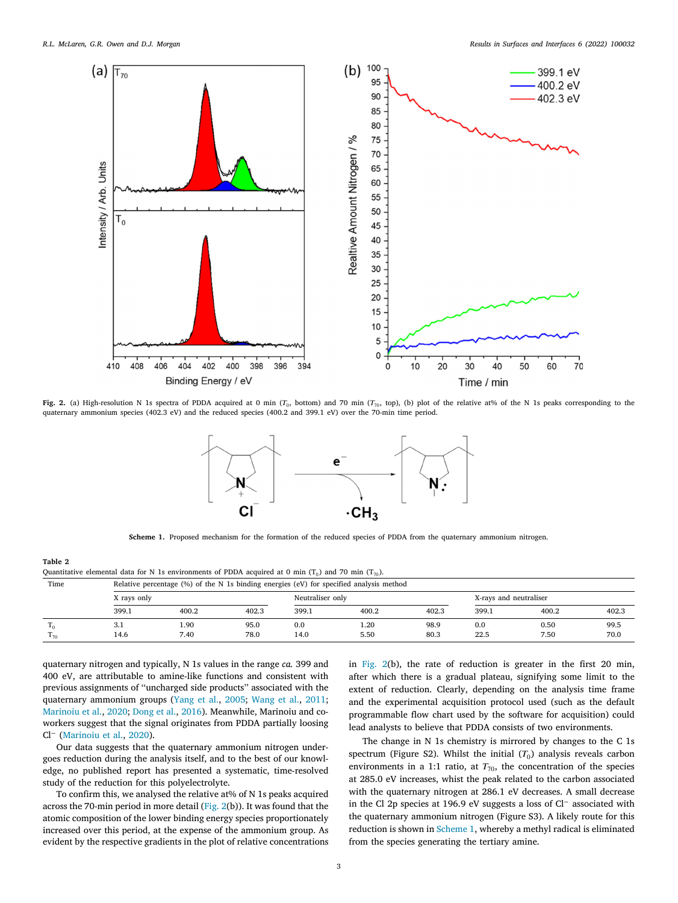

<span id="page-2-0"></span>**Fig. 2.** (a) High-resolution N 1s spectra of PDDA acquired at 0 min ( $T_0$ , bottom) and 70 min ( $T_{70}$ , top), (b) plot of the relative at% of the N 1s peaks corresponding to the quaternary ammonium species (402.3 eV) and the reduced species (400.2 and 399.1 eV) over the 70-min time period.



**Scheme 1.** Proposed mechanism for the formation of the reduced species of PDDA from the quaternary ammonium nitrogen.

#### <span id="page-2-2"></span>**Table 2**

<span id="page-2-1"></span>Quantitative elemental data for N 1s environments of PDDA acquired at 0 min (T $_0$ ) and 70 min (T $_{70}$ ).

| Time |             | Relative percentage $(\% )$ of the N 1s binding energies (eV) for specified analysis method |       |                  |       |       |                        |       |       |  |
|------|-------------|---------------------------------------------------------------------------------------------|-------|------------------|-------|-------|------------------------|-------|-------|--|
|      | X ravs only |                                                                                             |       | Neutraliser only |       |       | X-rays and neutraliser |       |       |  |
|      | 399.1       | 400.2                                                                                       | 402.3 | 399.1            | 400.2 | 402.3 | 399.1                  | 400.2 | 402.3 |  |
|      | 3.1         | 1.90                                                                                        | 95.0  | 0.0              | 1.20  | 98.9  | 0.0                    | 0.50  | 99.5  |  |
| 170  | 14.6        | 7.40                                                                                        | 78.0  | 14.0             | 5.50  | 80.3  | 22.5                   | 7.50  | 70.0  |  |

quaternary nitrogen and typically, N 1s values in the range *ca.* 399 and 400 eV, are attributable to amine-like functions and consistent with previous assignments of ''uncharged side products'' associated with the quaternary ammonium groups ([Yang et al.](#page-4-27), [2005;](#page-4-27) [Wang et al.,](#page-4-29) [2011](#page-4-29); [Marinoiu et al.,](#page-4-30) [2020](#page-4-30); [Dong et al.,](#page-4-31) [2016](#page-4-31)). Meanwhile, Marinoiu and coworkers suggest that the signal originates from PDDA partially loosing Cl<sup>−</sup> [\(Marinoiu et al.](#page-4-30), [2020\)](#page-4-30).

Our data suggests that the quaternary ammonium nitrogen undergoes reduction during the analysis itself, and to the best of our knowledge, no published report has presented a systematic, time-resolved study of the reduction for this polyelectrolyte.

To confirm this, we analysed the relative at% of N 1s peaks acquired across the 70-min period in more detail ([Fig.](#page-2-0) [2\(](#page-2-0)b)). It was found that the atomic composition of the lower binding energy species proportionately increased over this period, at the expense of the ammonium group. As evident by the respective gradients in the plot of relative concentrations in [Fig.](#page-2-0) [2](#page-2-0)(b), the rate of reduction is greater in the first 20 min, after which there is a gradual plateau, signifying some limit to the extent of reduction. Clearly, depending on the analysis time frame and the experimental acquisition protocol used (such as the default programmable flow chart used by the software for acquisition) could lead analysts to believe that PDDA consists of two environments.

The change in N 1s chemistry is mirrored by changes to the C 1s spectrum (Figure S2). Whilst the initial  $(T_0)$  analysis reveals carbon environments in a 1:1 ratio, at  $T_{70}$ , the concentration of the species at 285.0 eV increases, whist the peak related to the carbon associated with the quaternary nitrogen at 286.1 eV decreases. A small decrease in the Cl 2p species at 196.9 eV suggests a loss of Cl<sup>−</sup> associated with the quaternary ammonium nitrogen (Figure S3). A likely route for this reduction is shown in [Scheme](#page-2-2) [1](#page-2-2), whereby a methyl radical is eliminated from the species generating the tertiary amine.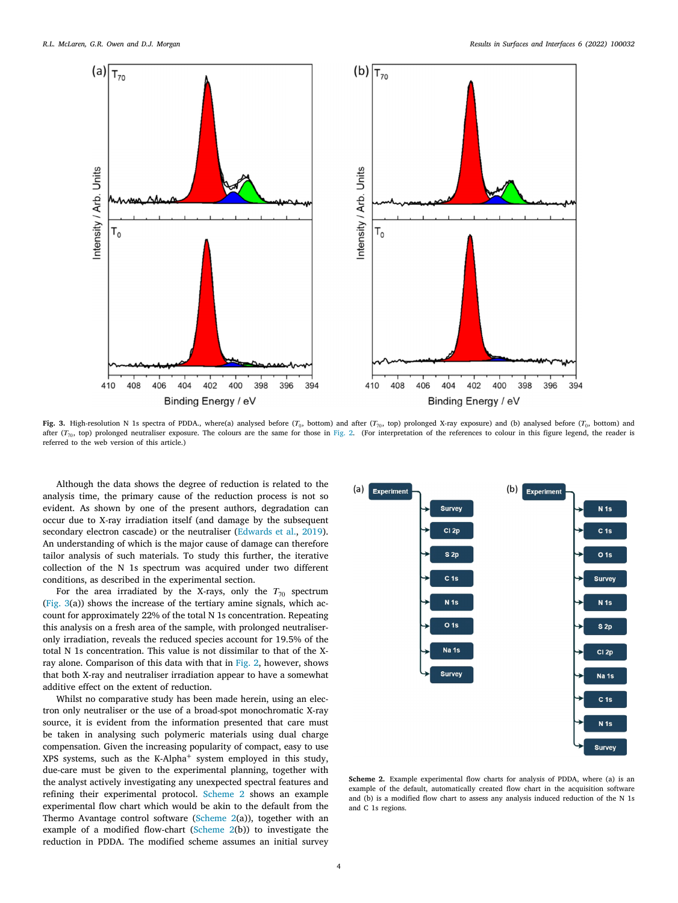

<span id="page-3-0"></span>**Fig. 3.** High-resolution N 1s spectra of PDDA., where(a) analysed before ( $T_0$ , bottom) and after ( $T_{70}$ , top) prolonged X-ray exposure) and (b) analysed before ( $T_0$ , bottom) and after  $(T_{70}$ , top) prolonged neutraliser exposure. The colours are the same for those in [Fig.](#page-2-0) [2.](#page-2-0) (For interpretation of the references to colour in this figure legend, the reader is referred to the web version of this article.)

Although the data shows the degree of reduction is related to the analysis time, the primary cause of the reduction process is not so evident. As shown by one of the present authors, degradation can occur due to X-ray irradiation itself (and damage by the subsequent secondary electron cascade) or the neutraliser ([Edwards et al.](#page-4-32), [2019](#page-4-32)). An understanding of which is the major cause of damage can therefore tailor analysis of such materials. To study this further, the iterative collection of the N 1s spectrum was acquired under two different conditions, as described in the experimental section.

For the area irradiated by the X-rays, only the  $T_{70}$  spectrum ([Fig.](#page-3-0) [3](#page-3-0)(a)) shows the increase of the tertiary amine signals, which account for approximately 22% of the total N 1s concentration. Repeating this analysis on a fresh area of the sample, with prolonged neutraliseronly irradiation, reveals the reduced species account for 19.5% of the total N 1s concentration. This value is not dissimilar to that of the Xray alone. Comparison of this data with that in [Fig.](#page-2-0) [2](#page-2-0), however, shows that both X-ray and neutraliser irradiation appear to have a somewhat additive effect on the extent of reduction.

Whilst no comparative study has been made herein, using an electron only neutraliser or the use of a broad-spot monochromatic X-ray source, it is evident from the information presented that care must be taken in analysing such polymeric materials using dual charge compensation. Given the increasing popularity of compact, easy to use XPS systems, such as the K-Alpha<sup>+</sup> system employed in this study, due-care must be given to the experimental planning, together with the analyst actively investigating any unexpected spectral features and refining their experimental protocol. [Scheme](#page-3-1) [2](#page-3-1) shows an example experimental flow chart which would be akin to the default from the Thermo Avantage control software ([Scheme](#page-3-1) [2\(](#page-3-1)a)), together with an example of a modified flow-chart [\(Scheme](#page-3-1) [2\(](#page-3-1)b)) to investigate the reduction in PDDA. The modified scheme assumes an initial survey



<span id="page-3-1"></span>**Scheme 2.** Example experimental flow charts for analysis of PDDA, where (a) is an example of the default, automatically created flow chart in the acquisition software and (b) is a modified flow chart to assess any analysis induced reduction of the N 1s and C 1s regions.